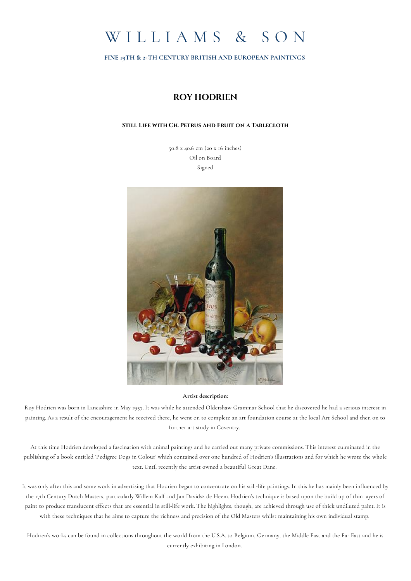

FINE 19TH & 2TH CENTURY BRITISH AND EUROPEAN PAINTINGS

## **ROY HODRIEN**

## **Still Life with Ch. Petrus and Fruit on a Tablecloth**

50.8 x 40.6 cm (20 x 16 inches) Oil on Board Signed



## **Artist description:**

Roy Hodrien was born in Lancashire in May 1957. It was while he attended Oldershaw Grammar School that he discovered he had a serious interest in painting. As a result of the encouragement he received there, he went on to complete an art foundation course at the local Art School and then on to further art study in Coventry.

At this time Hodrien developed a fascination with animal paintings and he carried out many private commissions. This interest culminated in the publishing of a book entitled 'Pedigree Dogs in Colour' which contained over one hundred of Hodrien's illustrations and for which he wrote the whole text. Until recently the artist owned a beautiful Great Dane.

It was only after this and some work in advertising that Hodrien began to concentrate on his still-life paintings. In this he has mainly been influenced by the 17th Century Dutch Masters, particularly Willem Kalf and Jan Davidsz de Heem. Hodrien's technique is based upon the build up of thin layers of paint to produce translucent effects that are essential in still-life work. The highlights, though, are achieved through use of thick undiluted paint. It is with these techniques that he aims to capture the richness and precision of the Old Masters whilst maintaining his own individual stamp.

Hodrien's works can be found in collections throughout the world from the U.S.A. to Belgium, Germany, the Middle East and the Far East and he is currently exhibiting in London.